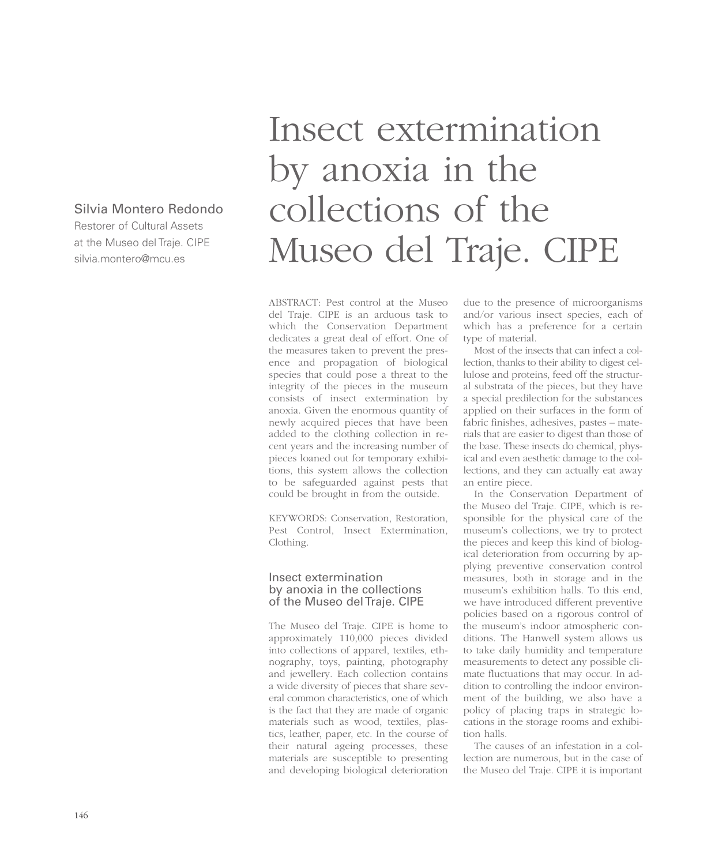# Silvia Montero Redondo

Restorer of Cultural Assets at the Museo del Traje. CIPE silvia.montero@mcu.es

# Insect extermination by anoxia in the collections of the Museo del Traje. CIPE

ABSTRACT: Pest control at the Museo del Traje. CIPE is an arduous task to which the Conservation Department dedicates a great deal of effort. One of the measures taken to prevent the presence and propagation of biological species that could pose a threat to the integrity of the pieces in the museum consists of insect extermination by anoxia. Given the enormous quantity of newly acquired pieces that have been added to the clothing collection in recent years and the increasing number of pieces loaned out for temporary exhibitions, this system allows the collection to be safeguarded against pests that could be brought in from the outside.

KEYWORDS: Conservation, Restoration, Pest Control, Insect Extermination, Clothing.

#### Insect extermination by anoxia in the collections of the Museo del Traje. CIPE

The Museo del Traje. CIPE is home to approximately 110,000 pieces divided into collections of apparel, textiles, ethnography, toys, painting, photography and jewellery. Each collection contains a wide diversity of pieces that share several common characteristics, one of which is the fact that they are made of organic materials such as wood, textiles, plastics, leather, paper, etc. In the course of their natural ageing processes, these materials are susceptible to presenting and developing biological deterioration

due to the presence of microorganisms and/or various insect species, each of which has a preference for a certain type of material.

Most of the insects that can infect a collection, thanks to their ability to digest cellulose and proteins, feed off the structural substrata of the pieces, but they have a special predilection for the substances applied on their surfaces in the form of fabric finishes, adhesives, pastes – materials that are easier to digest than those of the base. These insects do chemical, physical and even aesthetic damage to the collections, and they can actually eat away an entire piece.

In the Conservation Department of the Museo del Traje. CIPE, which is responsible for the physical care of the museum's collections, we try to protect the pieces and keep this kind of biological deterioration from occurring by applying preventive conservation control measures, both in storage and in the museum's exhibition halls. To this end, we have introduced different preventive policies based on a rigorous control of the museum's indoor atmospheric conditions. The Hanwell system allows us to take daily humidity and temperature measurements to detect any possible climate fluctuations that may occur. In addition to controlling the indoor environment of the building, we also have a policy of placing traps in strategic locations in the storage rooms and exhibition halls.

The causes of an infestation in a collection are numerous, but in the case of the Museo del Traje. CIPE it is important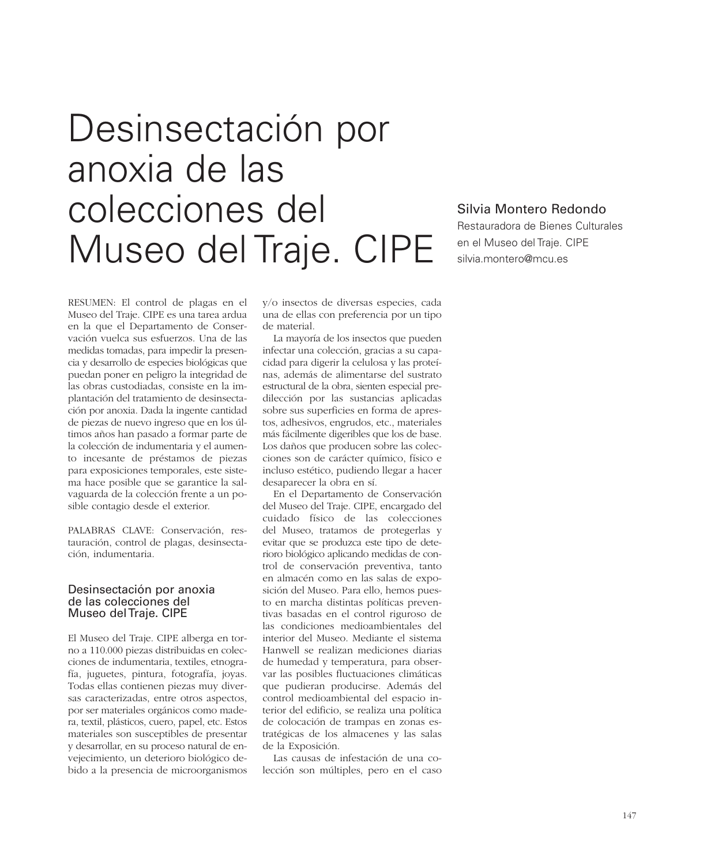# Desinsectación por anoxia de las colecciones del Museo del Traje. CIPE

# Silvia Montero Redondo

Restauradora de Bienes Culturales en el Museo del Traje. CIPE silvia.montero@mcu.es

RESUMEN: El control de plagas en el Museo del Traje. CIPE es una tarea ardua en la que el Departamento de Conservación vuelca sus esfuerzos. Una de las medidas tomadas, para impedir la presencia y desarrollo de especies biológicas que puedan poner en peligro la integridad de las obras custodiadas, consiste en la implantación del tratamiento de desinsectación por anoxia. Dada la ingente cantidad de piezas de nuevo ingreso que en los últimos años han pasado a formar parte de la colección de indumentaria y el aumento incesante de préstamos de piezas para exposiciones temporales, este sistema hace posible que se garantice la salvaguarda de la colección frente a un posible contagio desde el exterior.

PALABRAS CLAVE: Conservación, restauración, control de plagas, desinsectación, indumentaria.

#### Desinsectación por anoxia de las colecciones del Museo del Traje. CIPE

El Museo del Traje. CIPE alberga en torno a 110.000 piezas distribuidas en colecciones de indumentaria, textiles, etnografía, juguetes, pintura, fotografía, joyas. Todas ellas contienen piezas muy diversas caracterizadas, entre otros aspectos, por ser materiales orgánicos como madera, textil, plásticos, cuero, papel, etc. Estos materiales son susceptibles de presentar y desarrollar, en su proceso natural de envejecimiento, un deterioro biológico debido a la presencia de microorganismos

y/o insectos de diversas especies, cada una de ellas con preferencia por un tipo de material.

La mayoría de los insectos que pueden infectar una colección, gracias a su capacidad para digerir la celulosa y las proteínas, además de alimentarse del sustrato estructural de la obra, sienten especial predilección por las sustancias aplicadas sobre sus superficies en forma de aprestos, adhesivos, engrudos, etc., materiales más fácilmente digeribles que los de base. Los daños que producen sobre las colecciones son de carácter químico, físico e incluso estético, pudiendo llegar a hacer desaparecer la obra en sí.

En el Departamento de Conservación del Museo del Traje. CIPE, encargado del cuidado físico de las colecciones del Museo, tratamos de protegerlas y evitar que se produzca este tipo de deterioro biológico aplicando medidas de control de conservación preventiva, tanto en almacén como en las salas de exposición del Museo. Para ello, hemos puesto en marcha distintas políticas preventivas basadas en el control riguroso de las condiciones medioambientales del interior del Museo. Mediante el sistema Hanwell se realizan mediciones diarias de humedad y temperatura, para observar las posibles fluctuaciones climáticas que pudieran producirse. Además del control medioambiental del espacio interior del edificio, se realiza una política de colocación de trampas en zonas estratégicas de los almacenes y las salas de la Exposición.

Las causas de infestación de una colección son múltiples, pero en el caso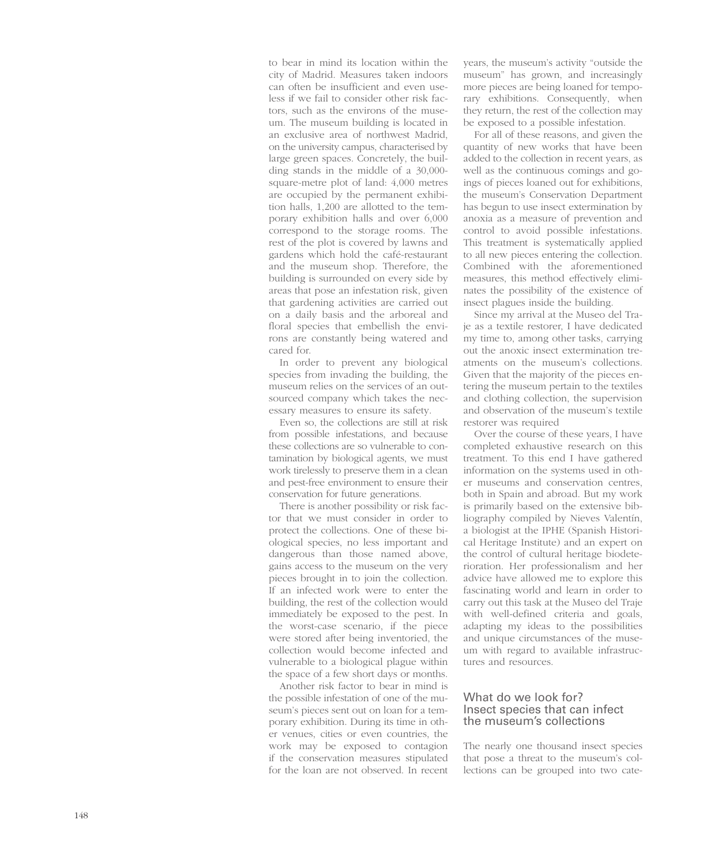to bear in mind its location within the city of Madrid. Measures taken indoors can often be insufficient and even useless if we fail to consider other risk factors, such as the environs of the museum. The museum building is located in an exclusive area of northwest Madrid, on the university campus, characterised by large green spaces. Concretely, the building stands in the middle of a 30,000 square-metre plot of land: 4,000 metres are occupied by the permanent exhibition halls, 1,200 are allotted to the temporary exhibition halls and over 6,000 correspond to the storage rooms. The rest of the plot is covered by lawns and gardens which hold the café-restaurant and the museum shop. Therefore, the building is surrounded on every side by areas that pose an infestation risk, given that gardening activities are carried out on a daily basis and the arboreal and floral species that embellish the environs are constantly being watered and cared for.

In order to prevent any biological species from invading the building, the museum relies on the services of an outsourced company which takes the necessary measures to ensure its safety.

Even so, the collections are still at risk from possible infestations, and because these collections are so vulnerable to contamination by biological agents, we must work tirelessly to preserve them in a clean and pest-free environment to ensure their conservation for future generations.

There is another possibility or risk factor that we must consider in order to protect the collections. One of these biological species, no less important and dangerous than those named above, gains access to the museum on the very pieces brought in to join the collection. If an infected work were to enter the building, the rest of the collection would immediately be exposed to the pest. In the worst-case scenario, if the piece were stored after being inventoried, the collection would become infected and vulnerable to a biological plague within the space of a few short days or months.

Another risk factor to bear in mind is the possible infestation of one of the museum's pieces sent out on loan for a temporary exhibition. During its time in other venues, cities or even countries, the work may be exposed to contagion if the conservation measures stipulated for the loan are not observed. In recent

years, the museum's activity "outside the museum" has grown, and increasingly more pieces are being loaned for temporary exhibitions. Consequently, when they return, the rest of the collection may be exposed to a possible infestation.

For all of these reasons, and given the quantity of new works that have been added to the collection in recent years, as well as the continuous comings and goings of pieces loaned out for exhibitions, the museum's Conservation Department has begun to use insect extermination by anoxia as a measure of prevention and control to avoid possible infestations. This treatment is systematically applied to all new pieces entering the collection. Combined with the aforementioned measures, this method effectively eliminates the possibility of the existence of insect plagues inside the building.

Since my arrival at the Museo del Traje as a textile restorer, I have dedicated my time to, among other tasks, carrying out the anoxic insect extermination treatments on the museum's collections. Given that the majority of the pieces entering the museum pertain to the textiles and clothing collection, the supervision and observation of the museum's textile restorer was required

Over the course of these years, I have completed exhaustive research on this treatment. To this end I have gathered information on the systems used in other museums and conservation centres both in Spain and abroad. But my work is primarily based on the extensive bibliography compiled by Nieves Valentín, a biologist at the IPHE (Spanish Historical Heritage Institute) and an expert on the control of cultural heritage biodeterioration. Her professionalism and her advice have allowed me to explore this fascinating world and learn in order to carry out this task at the Museo del Traje with well-defined criteria and goals, adapting my ideas to the possibilities and unique circumstances of the museum with regard to available infrastructures and resources.

#### What do we look for? Insect species that can infect the museum's collections

The nearly one thousand insect species that pose a threat to the museum's collections can be grouped into two cate-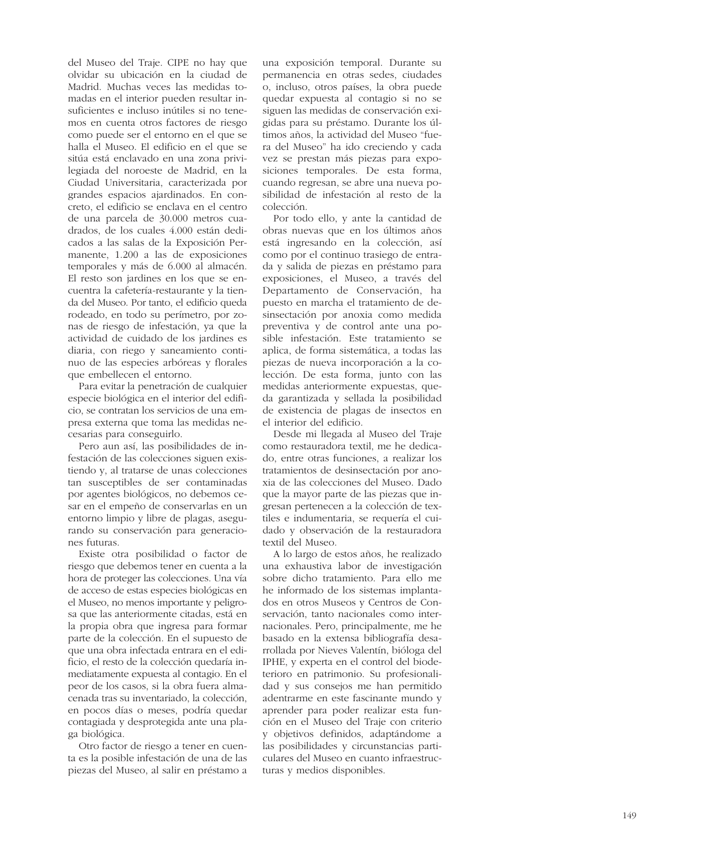del Museo del Traje. CIPE no hay que olvidar su ubicación en la ciudad de Madrid. Muchas veces las medidas tomadas en el interior pueden resultar insuficientes e incluso inútiles si no tenemos en cuenta otros factores de riesgo como puede ser el entorno en el que se halla el Museo. El edificio en el que se sitúa está enclavado en una zona privilegiada del noroeste de Madrid, en la Ciudad Universitaria, caracterizada por grandes espacios ajardinados. En concreto, el edificio se enclava en el centro de una parcela de 30.000 metros cuadrados, de los cuales 4.000 están dedicados a las salas de la Exposición Permanente, 1.200 a las de exposiciones temporales y más de 6.000 al almacén. El resto son jardines en los que se encuentra la cafetería-restaurante y la tienda del Museo. Por tanto, el edificio queda rodeado, en todo su perímetro, por zonas de riesgo de infestación, ya que la actividad de cuidado de los jardines es diaria, con riego y saneamiento continuo de las especies arbóreas y florales que embellecen el entorno.

Para evitar la penetración de cualquier especie biológica en el interior del edificio, se contratan los servicios de una empresa externa que toma las medidas necesarias para conseguirlo.

Pero aun así, las posibilidades de infestación de las colecciones siguen existiendo y, al tratarse de unas colecciones tan susceptibles de ser contaminadas por agentes biológicos, no debemos cesar en el empeño de conservarlas en un entorno limpio y libre de plagas, asegurando su conservación para generaciones futuras.

Existe otra posibilidad o factor de riesgo que debemos tener en cuenta a la hora de proteger las colecciones. Una vía de acceso de estas especies biológicas en el Museo, no menos importante y peligrosa que las anteriormente citadas, está en la propia obra que ingresa para formar parte de la colección. En el supuesto de que una obra infectada entrara en el edificio, el resto de la colección quedaría inmediatamente expuesta al contagio. En el peor de los casos, si la obra fuera almacenada tras su inventariado, la colección, en pocos días o meses, podría quedar contagiada y desprotegida ante una plaga biológica.

Otro factor de riesgo a tener en cuenta es la posible infestación de una de las piezas del Museo, al salir en préstamo a

una exposición temporal. Durante su permanencia en otras sedes, ciudades o, incluso, otros países, la obra puede quedar expuesta al contagio si no se siguen las medidas de conservación exigidas para su préstamo. Durante los últimos años, la actividad del Museo "fuera del Museo" ha ido creciendo y cada vez se prestan más piezas para exposiciones temporales. De esta forma, cuando regresan, se abre una nueva posibilidad de infestación al resto de la colección.

Por todo ello, y ante la cantidad de obras nuevas que en los últimos años está ingresando en la colección, así como por el continuo trasiego de entrada y salida de piezas en préstamo para exposiciones, el Museo, a través del Departamento de Conservación, ha puesto en marcha el tratamiento de desinsectación por anoxia como medida preventiva y de control ante una posible infestación. Este tratamiento se aplica, de forma sistemática, a todas las piezas de nueva incorporación a la colección. De esta forma, junto con las medidas anteriormente expuestas, queda garantizada y sellada la posibilidad de existencia de plagas de insectos en el interior del edificio.

Desde mi llegada al Museo del Traje como restauradora textil, me he dedicado, entre otras funciones, a realizar los tratamientos de desinsectación por anoxia de las colecciones del Museo. Dado que la mayor parte de las piezas que ingresan pertenecen a la colección de textiles e indumentaria, se requería el cuidado y observación de la restauradora textil del Museo.

A lo largo de estos años, he realizado una exhaustiva labor de investigación sobre dicho tratamiento. Para ello me he informado de los sistemas implantados en otros Museos y Centros de Conservación, tanto nacionales como internacionales. Pero, principalmente, me he basado en la extensa bibliografía desarrollada por Nieves Valentín, bióloga del IPHE, y experta en el control del biodeterioro en patrimonio. Su profesionalidad y sus consejos me han permitido adentrarme en este fascinante mundo y aprender para poder realizar esta función en el Museo del Traje con criterio y objetivos definidos, adaptándome a las posibilidades y circunstancias particulares del Museo en cuanto infraestructuras y medios disponibles.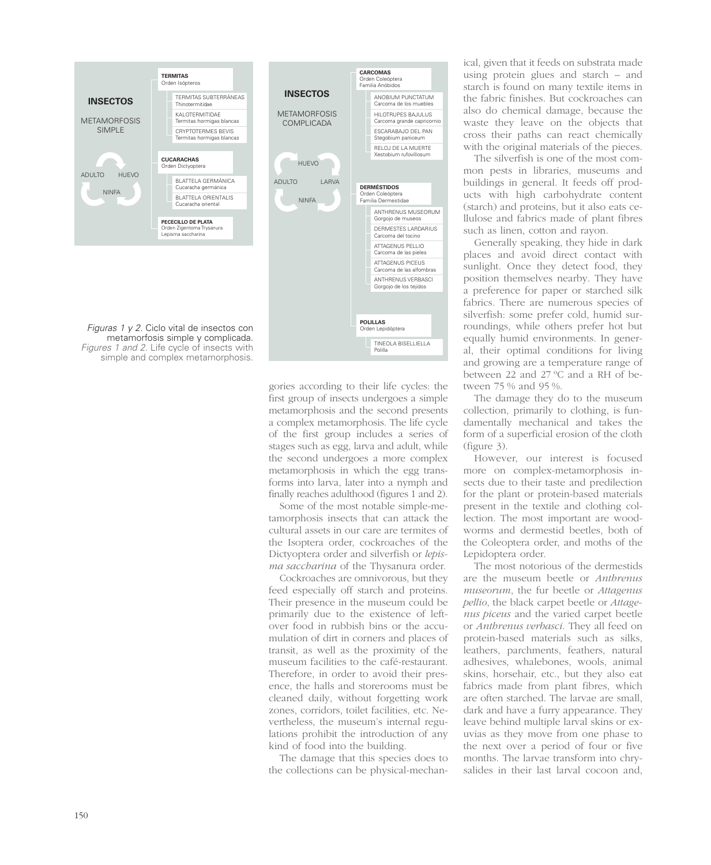

gories according to their life cycles: the first group of insects undergoes a simple metamorphosis and the second presents a complex metamorphosis. The life cycle of the first group includes a series of stages such as egg, larva and adult, while the second undergoes a more complex metamorphosis in which the egg transforms into larva, later into a nymph and finally reaches adulthood (figures 1 and 2).

Some of the most notable simple-metamorphosis insects that can attack the cultural assets in our care are termites of the Isoptera order, cockroaches of the Dictyoptera order and silverfish or *lepisma saccharina* of the Thysanura order.

Cockroaches are omnivorous, but they feed especially off starch and proteins. Their presence in the museum could be primarily due to the existence of leftover food in rubbish bins or the accumulation of dirt in corners and places of transit, as well as the proximity of the museum facilities to the café-restaurant. Therefore, in order to avoid their presence, the halls and storerooms must be cleaned daily, without forgetting work zones, corridors, toilet facilities, etc. Nevertheless, the museum's internal regulations prohibit the introduction of any kind of food into the building.

The damage that this species does to the collections can be physical-mechanical, given that it feeds on substrata made using protein glues and starch – and starch is found on many textile items in the fabric finishes. But cockroaches can also do chemical damage, because the waste they leave on the objects that cross their paths can react chemically with the original materials of the pieces.

The silverfish is one of the most common pests in libraries, museums and buildings in general. It feeds off products with high carbohydrate content (starch) and proteins, but it also eats cellulose and fabrics made of plant fibres such as linen, cotton and rayon.

Generally speaking, they hide in dark places and avoid direct contact with sunlight. Once they detect food, they position themselves nearby. They have a preference for paper or starched silk fabrics. There are numerous species of silverfish: some prefer cold, humid surroundings, while others prefer hot but equally humid environments. In general, their optimal conditions for living and growing are a temperature range of between 22 and 27 ºC and a RH of between 75 % and 95 %.

The damage they do to the museum collection, primarily to clothing, is fundamentally mechanical and takes the form of a superficial erosion of the cloth (figure 3).

However, our interest is focused more on complex-metamorphosis insects due to their taste and predilection for the plant or protein-based materials present in the textile and clothing collection. The most important are woodworms and dermestid beetles, both of the Coleoptera order, and moths of the Lepidoptera order.

The most notorious of the dermestids are the museum beetle or *Anthrenus museorum*, the fur beetle or *Attagenus pellio*, the black carpet beetle or *Attagenus piceus* and the varied carpet beetle or *Anthrenus verbasci*. They all feed on protein-based materials such as silks, leathers, parchments, feathers, natural adhesives, whalebones, wools, animal skins, horsehair, etc., but they also eat fabrics made from plant fibres, which are often starched. The larvae are small, dark and have a furry appearance. They leave behind multiple larval skins or exuvias as they move from one phase to the next over a period of four or five months. The larvae transform into chrysalides in their last larval cocoon and,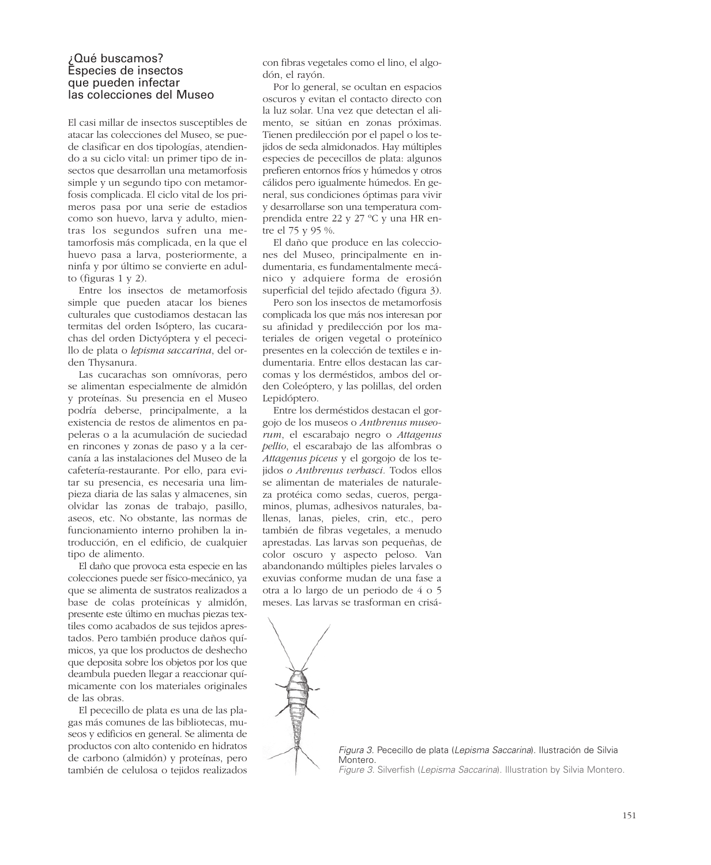#### ¿Qué buscamos? Especies de insectos que pueden infectar las colecciones del Museo

El casi millar de insectos susceptibles de atacar las colecciones del Museo, se puede clasificar en dos tipologías, atendiendo a su ciclo vital: un primer tipo de insectos que desarrollan una metamorfosis simple y un segundo tipo con metamorfosis complicada. El ciclo vital de los primeros pasa por una serie de estadios como son huevo, larva y adulto, mientras los segundos sufren una metamorfosis más complicada, en la que el huevo pasa a larva, posteriormente, a ninfa y por último se convierte en adulto (figuras 1 y 2).

Entre los insectos de metamorfosis simple que pueden atacar los bienes culturales que custodiamos destacan las termitas del orden Isóptero, las cucarachas del orden Dictyóptera y el pececillo de plata o *lepisma saccarina*, del orden Thysanura.

Las cucarachas son omnívoras, pero se alimentan especialmente de almidón y proteínas. Su presencia en el Museo podría deberse, principalmente, a la existencia de restos de alimentos en papeleras o a la acumulación de suciedad en rincones y zonas de paso y a la cercanía a las instalaciones del Museo de la cafetería-restaurante. Por ello, para evitar su presencia, es necesaria una limpieza diaria de las salas y almacenes, sin olvidar las zonas de trabajo, pasillo, aseos, etc. No obstante, las normas de funcionamiento interno prohiben la introducción, en el edificio, de cualquier tipo de alimento.

El daño que provoca esta especie en las colecciones puede ser físico-mecánico, ya que se alimenta de sustratos realizados a base de colas proteínicas y almidón, presente este último en muchas piezas textiles como acabados de sus tejidos aprestados. Pero también produce daños químicos, ya que los productos de deshecho que deposita sobre los objetos por los que deambula pueden llegar a reaccionar químicamente con los materiales originales de las obras.

El pececillo de plata es una de las plagas más comunes de las bibliotecas, museos y edificios en general. Se alimenta de productos con alto contenido en hidratos de carbono (almidón) y proteínas, pero también de celulosa o tejidos realizados

con fibras vegetales como el lino, el algodón, el rayón.

Por lo general, se ocultan en espacios oscuros y evitan el contacto directo con la luz solar. Una vez que detectan el alimento, se sitúan en zonas próximas. Tienen predilección por el papel o los tejidos de seda almidonados. Hay múltiples especies de pececillos de plata: algunos prefieren entornos fríos y húmedos y otros cálidos pero igualmente húmedos. En general, sus condiciones óptimas para vivir y desarrollarse son una temperatura comprendida entre 22 y 27 ºC y una HR entre el 75 y 95 %.

El daño que produce en las colecciones del Museo, principalmente en indumentaria, es fundamentalmente mecánico y adquiere forma de erosión superficial del tejido afectado (figura 3).

Pero son los insectos de metamorfosis complicada los que más nos interesan por su afinidad y predilección por los materiales de origen vegetal o proteínico presentes en la colección de textiles e indumentaria. Entre ellos destacan las carcomas y los derméstidos, ambos del orden Coleóptero, y las polillas, del orden Lepidóptero.

Entre los derméstidos destacan el gorgojo de los museos o *Anthrenus museorum*, el escarabajo negro o *Attagenus pellio*, el escarabajo de las alfombras o *Attagenus piceus* y el gorgojo de los tejidos *o Anthrenus verbasci.* Todos ellos se alimentan de materiales de naturaleza protéica como sedas, cueros, pergaminos, plumas, adhesivos naturales, ballenas, lanas, pieles, crin, etc., pero también de fibras vegetales, a menudo aprestadas. Las larvas son pequeñas, de color oscuro y aspecto peloso. Van abandonando múltiples pieles larvales o exuvias conforme mudan de una fase a otra a lo largo de un periodo de 4 o 5 meses. Las larvas se trasforman en crisá-



*Figura 3. Pececillo de plata (Lepisma Saccarina). Ilustración de Silvia Montero. Figure 3. Silverfish (Lepisma Saccarina). Illustration by Silvia Montero.*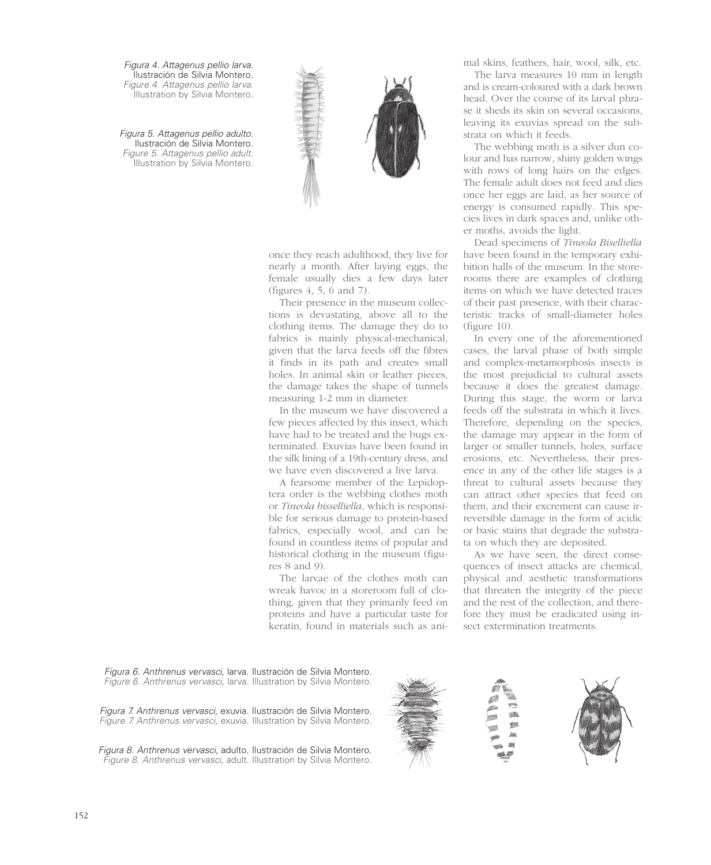*Figura 4. Attagenus pellio larva. Ilustración de Silvia Montero. Figure 4. Attagenus pellio larva. Illustration by Silvia Montero.*

*Figura 5. Attagenus pellio adulto. Ilustración de Silvia Montero. Figure 5. Attagenus pellio adult. Illustration by Silvia Montero.*



once they reach adulthood, they live for nearly a month. After laying eggs, the female usually dies a few days later (figures 4, 5, 6 and 7).

Their presence in the museum collections is devastating, above all to the clothing items. The damage they do to fabrics is mainly physical-mechanical, given that the larva feeds off the fibres it finds in its path and creates small holes. In animal skin or leather pieces, the damage takes the shape of tunnels measuring 1-2 mm in diameter.

In the museum we have discovered a few pieces affected by this insect, which have had to be treated and the bugs exterminated. Exuvias have been found in the silk lining of a 19th-century dress, and we have even discovered a live larva.

A fearsome member of the Lepidoptera order is the webbing clothes moth or *Tineola bisselliella*, which is responsible for serious damage to protein-based fabrics, especially wool, and can be found in countless items of popular and historical clothing in the museum (figures 8 and 9).

The larvae of the clothes moth can wreak havoc in a storeroom full of clothing, given that they primarily feed on proteins and have a particular taste for keratin, found in materials such as animal skins, feathers, hair, wool, silk, etc.

The larva measures 10 mm in length and is cream-coloured with a dark brown head. Over the course of its larval phrase it sheds its skin on several occasions, leaving its exuvias spread on the substrata on which it feeds.

The webbing moth is a silver dun colour and has narrow, shiny golden wings with rows of long hairs on the edges. The female adult does not feed and dies once her eggs are laid, as her source of energy is consumed rapidly. This species lives in dark spaces and, unlike other moths, avoids the light.

Dead specimens of *Tineola Biselliella* have been found in the temporary exhibition halls of the museum. In the storerooms there are examples of clothing items on which we have detected traces of their past presence, with their characteristic tracks of small-diameter holes (figure 10).

In every one of the aforementioned cases, the larval phase of both simple and complex-metamorphosis insects is the most prejudicial to cultural assets because it does the greatest damage. During this stage, the worm or larva feeds off the substrata in which it lives. Therefore, depending on the species, the damage may appear in the form of larger or smaller tunnels, holes, surface erosions, etc. Nevertheless, their presence in any of the other life stages is a threat to cultural assets because they can attract other species that feed on them, and their excrement can cause irreversible damage in the form of acidic or basic stains that degrade the substrata on which they are deposited.

As we have seen, the direct consequences of insect attacks are chemical, physical and aesthetic transformations that threaten the integrity of the piece and the rest of the collection, and therefore they must be eradicated using insect extermination treatments.

*Figura 6. Anthrenus vervasci, larva. Ilustración de Silvia Montero. Figure 6. Anthrenus vervasci, larva. Illustration by Silvia Montero.*

*Figura 7. Anthrenus vervasci, exuvia. Ilustración de Silvia Montero. Figure 7. Anthrenus vervasci, exuvia. Illustration by Silvia Montero.*

*Figura 8. Anthrenus vervasci, adulto. Ilustración de Silvia Montero. Figure 8. Anthrenus vervasci, adult. Illustration by Silvia Montero.*



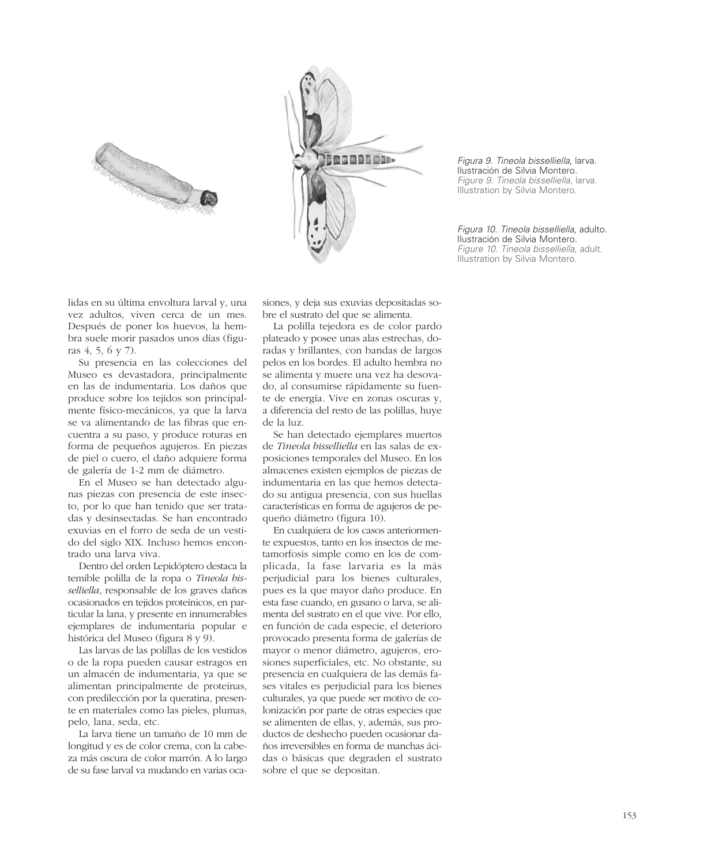



*Figura 9. Tineola bisselliella, larva. Ilustración de Silvia Montero. Figure 9. Tineola bisselliella, larva. Illustration by Silvia Montero.*

*Figura 10. Tineola bisselliella, adulto. Ilustración de Silvia Montero. Figure 10. Tineola bisselliella, adult. Illustration by Silvia Montero.*

lidas en su última envoltura larval y, una vez adultos, viven cerca de un mes. Después de poner los huevos, la hembra suele morir pasados unos días (figuras 4, 5, 6 y 7).

Su presencia en las colecciones del Museo es devastadora, principalmente en las de indumentaria. Los daños que produce sobre los tejidos son principalmente físico-mecánicos, ya que la larva se va alimentando de las fibras que encuentra a su paso, y produce roturas en forma de pequeños agujeros. En piezas de piel o cuero, el daño adquiere forma de galería de 1-2 mm de diámetro.

En el Museo se han detectado algunas piezas con presencia de este insecto, por lo que han tenido que ser tratadas y desinsectadas. Se han encontrado exuvias en el forro de seda de un vestido del siglo XIX. Incluso hemos encontrado una larva viva.

Dentro del orden Lepidóptero destaca la temible polilla de la ropa o *Tineola bisselliella*, responsable de los graves daños ocasionados en tejidos proteínicos, en particular la lana, y presente en innumerables ejemplares de indumentaria popular e histórica del Museo (figura 8 y 9).

Las larvas de las polillas de los vestidos o de la ropa pueden causar estragos en un almacén de indumentaria, ya que se alimentan principalmente de proteínas, con predilección por la queratina, presente en materiales como las pieles, plumas, pelo, lana, seda, etc.

La larva tiene un tamaño de 10 mm de longitud y es de color crema, con la cabeza más oscura de color marrón. A lo largo de su fase larval va mudando en varias ocasiones, y deja sus exuvias depositadas sobre el sustrato del que se alimenta.

La polilla tejedora es de color pardo plateado y posee unas alas estrechas, doradas y brillantes, con bandas de largos pelos en los bordes. El adulto hembra no se alimenta y muere una vez ha desovado, al consumirse rápidamente su fuente de energía. Vive en zonas oscuras y, a diferencia del resto de las polillas, huye de la luz.

Se han detectado ejemplares muertos de *Tineola bisselliella* en las salas de exposiciones temporales del Museo. En los almacenes existen ejemplos de piezas de indumentaria en las que hemos detectado su antigua presencia, con sus huellas características en forma de agujeros de pequeño diámetro (figura 10).

En cualquiera de los casos anteriormente expuestos, tanto en los insectos de metamorfosis simple como en los de complicada, la fase larvaria es la más perjudicial para los bienes culturales, pues es la que mayor daño produce. En esta fase cuando, en gusano o larva, se alimenta del sustrato en el que vive. Por ello, en función de cada especie, el deterioro provocado presenta forma de galerías de mayor o menor diámetro, agujeros, erosiones superficiales, etc. No obstante, su presencia en cualquiera de las demás fases vitales es perjudicial para los bienes culturales, ya que puede ser motivo de colonización por parte de otras especies que se alimenten de ellas, y, además, sus productos de deshecho pueden ocasionar daños irreversibles en forma de manchas ácidas o básicas que degraden el sustrato sobre el que se depositan.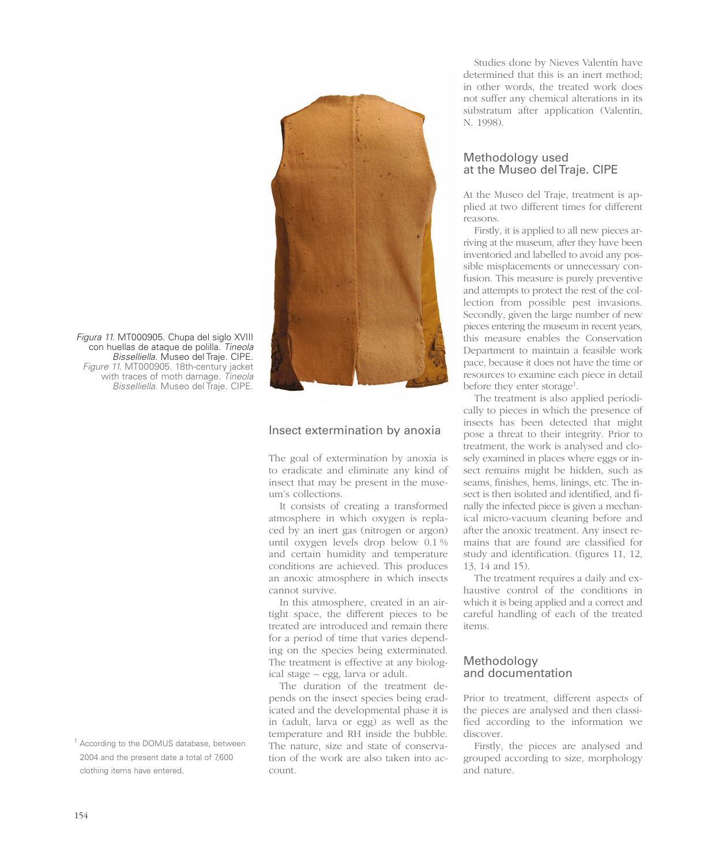

Figura 11. MT000905. Chupa del siglo XVIII con huellas de ataque de polilla. Tineola Bisselliella. Museo del Traje. CIPE. Figure 11. MT000905. 18th-century jacket with traces of moth damage. Tineola Bisselliella. Museo del Traje. CIPE.

#### <sup>1</sup> According to the DOMUS database, between 2004 and the present date a total of 7,600 clothing items have entered.

#### Insect extermination by anoxia

The goal of extermination by anoxia is to eradicate and eliminate any kind of insect that may be present in the museum's collections.

It consists of creating a transformed atmosphere in which oxygen is replaced by an inert gas (nitrogen or argon) until oxygen levels drop below 0.1 % and certain humidity and temperature conditions are achieved. This produces an anoxic atmosphere in which insects cannot survive.

In this atmosphere, created in an airtight space, the different pieces to be treated are introduced and remain there for a period of time that varies depending on the species being exterminated. The treatment is effective at any biological stage – egg, larva or adult.

The duration of the treatment depends on the insect species being eradicated and the developmental phase it is in (adult, larva or egg) as well as the temperature and RH inside the bubble. The nature, size and state of conservation of the work are also taken into account.

Studies done by Nieves Valentín have determined that this is an inert method; in other words, the treated work does not suffer any chemical alterations in its substratum after application (Valentín, N. 1998).

#### Methodology used at the Museo del Traje. CIPE

At the Museo del Traje, treatment is applied at two different times for different reasons.

Firstly, it is applied to all new pieces arriving at the museum, after they have been inventoried and labelled to avoid any possible misplacements or unnecessary confusion. This measure is purely preventive and attempts to protect the rest of the collection from possible pest invasions. Secondly, given the large number of new pieces entering the museum in recent years, this measure enables the Conservation Department to maintain a feasible work pace, because it does not have the time or resources to examine each piece in detail before they enter storage<sup>1</sup>.

The treatment is also applied periodically to pieces in which the presence of insects has been detected that might pose a threat to their integrity. Prior to treatment, the work is analysed and closely examined in places where eggs or insect remains might be hidden, such as seams, finishes, hems, linings, etc. The insect is then isolated and identified, and finally the infected piece is given a mechanical micro-vacuum cleaning before and after the anoxic treatment. Any insect remains that are found are classified for study and identification. (figures 11, 12, 13, 14 and 15).

The treatment requires a daily and exhaustive control of the conditions in which it is being applied and a correct and careful handling of each of the treated items.

#### Methodology and documentation

Prior to treatment, different aspects of the pieces are analysed and then classified according to the information we discover.

Firstly, the pieces are analysed and grouped according to size, morphology and nature.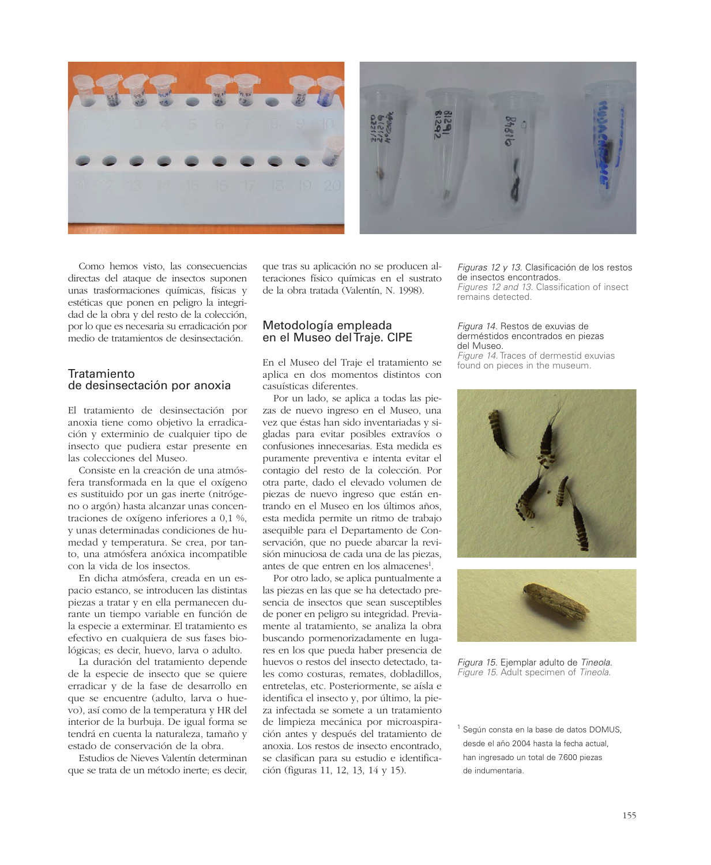

Como hemos visto, las consecuencias directas del ataque de insectos suponen unas trasformaciones químicas, físicas y estéticas que ponen en peligro la integridad de la obra y del resto de la colección, por lo que es necesaria su erradicación por medio de tratamientos de desinsectación.

#### Tratamiento de desinsectación por anoxia

El tratamiento de desinsectación por anoxia tiene como objetivo la erradicación y exterminio de cualquier tipo de insecto que pudiera estar presente en las colecciones del Museo.

Consiste en la creación de una atmósfera transformada en la que el oxígeno es sustituido por un gas inerte (nitrógeno o argón) hasta alcanzar unas concentraciones de oxígeno inferiores a 0,1 %, y unas determinadas condiciones de humedad y temperatura. Se crea, por tanto, una atmósfera anóxica incompatible con la vida de los insectos.

En dicha atmósfera, creada en un espacio estanco, se introducen las distintas piezas a tratar y en ella permanecen durante un tiempo variable en función de la especie a exterminar. El tratamiento es efectivo en cualquiera de sus fases biológicas; es decir, huevo, larva o adulto.

La duración del tratamiento depende de la especie de insecto que se quiere erradicar y de la fase de desarrollo en que se encuentre (adulto, larva o huevo), así como de la temperatura y HR del interior de la burbuja. De igual forma se tendrá en cuenta la naturaleza, tamaño y estado de conservación de la obra.

Estudios de Nieves Valentín determinan que se trata de un método inerte; es decir, que tras su aplicación no se producen alteraciones físico químicas en el sustrato de la obra tratada (Valentín, N. 1998).

#### Metodología empleada en el Museo del Traje. CIPE

En el Museo del Traje el tratamiento se aplica en dos momentos distintos con casuísticas diferentes.

Por un lado, se aplica a todas las piezas de nuevo ingreso en el Museo, una vez que éstas han sido inventariadas y sigladas para evitar posibles extravíos o confusiones innecesarias. Esta medida es puramente preventiva e intenta evitar el contagio del resto de la colección. Por otra parte, dado el elevado volumen de piezas de nuevo ingreso que están entrando en el Museo en los últimos años, esta medida permite un ritmo de trabajo asequible para el Departamento de Conservación, que no puede abarcar la revisión minuciosa de cada una de las piezas, antes de que entren en los almacenes<sup>1</sup>.

Por otro lado, se aplica puntualmente a las piezas en las que se ha detectado presencia de insectos que sean susceptibles de poner en peligro su integridad. Previamente al tratamiento, se analiza la obra buscando pormenorizadamente en lugares en los que pueda haber presencia de huevos o restos del insecto detectado, tales como costuras, remates, dobladillos, entretelas, etc. Posteriormente, se aísla e identifica el insecto y, por último, la pieza infectada se somete a un tratamiento de limpieza mecánica por microaspiración antes y después del tratamiento de anoxia. Los restos de insecto encontrado, se clasifican para su estudio e identificación (figuras 11, 12, 13, 14 y 15).

Figuras 12 y 13. Clasificación de los restos de insectos encontrados. Figures 12 and 13. Classification of insect remains detected.

#### Figura 14. Restos de exuvias de derméstidos encontrados en piezas del Museo.

Figure 14. Traces of dermestid exuvias found on pieces in the museum.





Figura 15. Ejemplar adulto de Tineola. Figure 15. Adult specimen of Tineola.

 $1$  Según consta en la base de datos DOMUS, desde el año 2004 hasta la fecha actual, han ingresado un total de 7.600 piezas de indumentaria.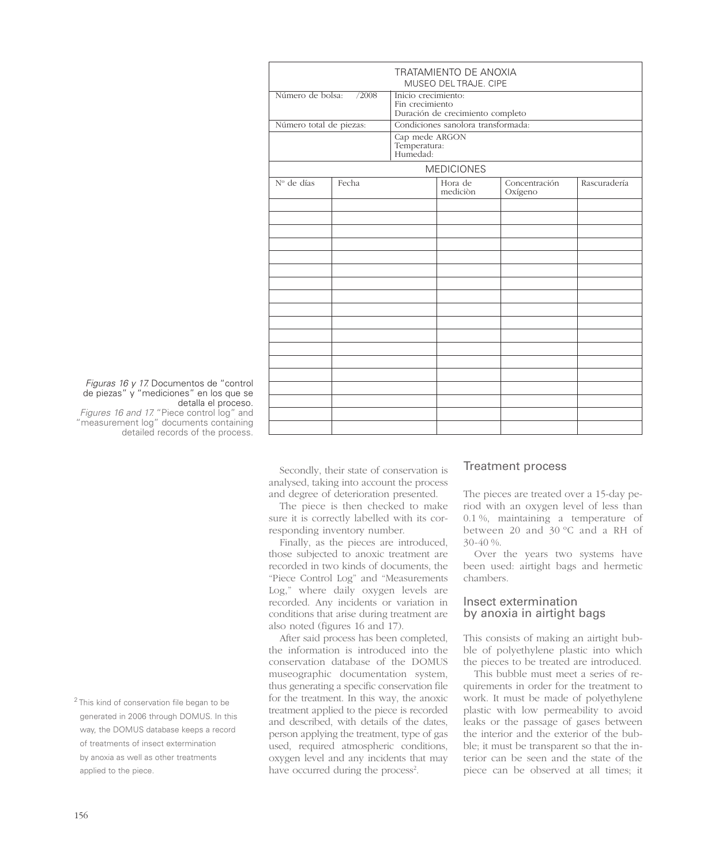| TRATAMIENTO DE ANOXIA<br>MUSEO DEL TRAJE. CIPE |       |                                        |                     |                          |              |  |  |  |
|------------------------------------------------|-------|----------------------------------------|---------------------|--------------------------|--------------|--|--|--|
|                                                |       |                                        |                     |                          |              |  |  |  |
| Número de bolsa:                               | /2008 | Inicio crecimiento:<br>Fin crecimiento |                     |                          |              |  |  |  |
|                                                |       | Duración de crecimiento completo       |                     |                          |              |  |  |  |
| Número total de piezas:                        |       | Condiciones sanolora transformada:     |                     |                          |              |  |  |  |
|                                                |       | Cap mede ARGON                         |                     |                          |              |  |  |  |
|                                                |       | Temperatura:<br>Humedad:               |                     |                          |              |  |  |  |
|                                                |       |                                        |                     |                          |              |  |  |  |
| <b>MEDICIONES</b>                              |       |                                        |                     |                          |              |  |  |  |
| Nº de días                                     | Fecha |                                        | Hora de<br>mediciòn | Concentración<br>Oxígeno | Rascuradería |  |  |  |
|                                                |       |                                        |                     |                          |              |  |  |  |
|                                                |       |                                        |                     |                          |              |  |  |  |
|                                                |       |                                        |                     |                          |              |  |  |  |
|                                                |       |                                        |                     |                          |              |  |  |  |
|                                                |       |                                        |                     |                          |              |  |  |  |
|                                                |       |                                        |                     |                          |              |  |  |  |
|                                                |       |                                        |                     |                          |              |  |  |  |
|                                                |       |                                        |                     |                          |              |  |  |  |
|                                                |       |                                        |                     |                          |              |  |  |  |
|                                                |       |                                        |                     |                          |              |  |  |  |
|                                                |       |                                        |                     |                          |              |  |  |  |
|                                                |       |                                        |                     |                          |              |  |  |  |
|                                                |       |                                        |                     |                          |              |  |  |  |
|                                                |       |                                        |                     |                          |              |  |  |  |
|                                                |       |                                        |                     |                          |              |  |  |  |
|                                                |       |                                        |                     |                          |              |  |  |  |
|                                                |       |                                        |                     |                          |              |  |  |  |
|                                                |       |                                        |                     |                          |              |  |  |  |
|                                                |       |                                        |                     |                          |              |  |  |  |

#### *Figuras 16 y 17. Documentos de "control de piezas" y "mediciones" en los que se detalla el proceso.*

*Figures 16 and 17. "Piece control log" and "measurement log" documents containing detailed records of the process.*

*<sup>2</sup> This kind of conservation file began to be generated in 2006 through DOMUS. In this way, the DOMUS database keeps a record of treatments of insect extermination by anoxia as well as other treatments applied to the piece.*

#### Secondly, their state of conservation is analysed, taking into account the process and degree of deterioration presented.

The piece is then checked to make sure it is correctly labelled with its corresponding inventory number.

Finally, as the pieces are introduced, those subjected to anoxic treatment are recorded in two kinds of documents, the "Piece Control Log" and "Measurements Log," where daily oxygen levels are recorded. Any incidents or variation in conditions that arise during treatment are also noted (figures 16 and 17).

After said process has been completed, the information is introduced into the conservation database of the DOMUS museographic documentation system, thus generating a specific conservation file for the treatment. In this way, the anoxic treatment applied to the piece is recorded and described, with details of the dates, person applying the treatment, type of gas used, required atmospheric conditions, oxygen level and any incidents that may have occurred during the process<sup>2</sup>.

#### Treatment process

The pieces are treated over a 15-day period with an oxygen level of less than 0.1 %, maintaining a temperature of between 20 and 30 ºC and a RH of 30-40 %.

Over the years two systems have been used: airtight bags and hermetic chambers.

## Insect extermination by anoxia in airtight bags

This consists of making an airtight bubble of polyethylene plastic into which the pieces to be treated are introduced.

This bubble must meet a series of requirements in order for the treatment to work. It must be made of polyethylene plastic with low permeability to avoid leaks or the passage of gases between the interior and the exterior of the bubble; it must be transparent so that the interior can be seen and the state of the piece can be observed at all times; it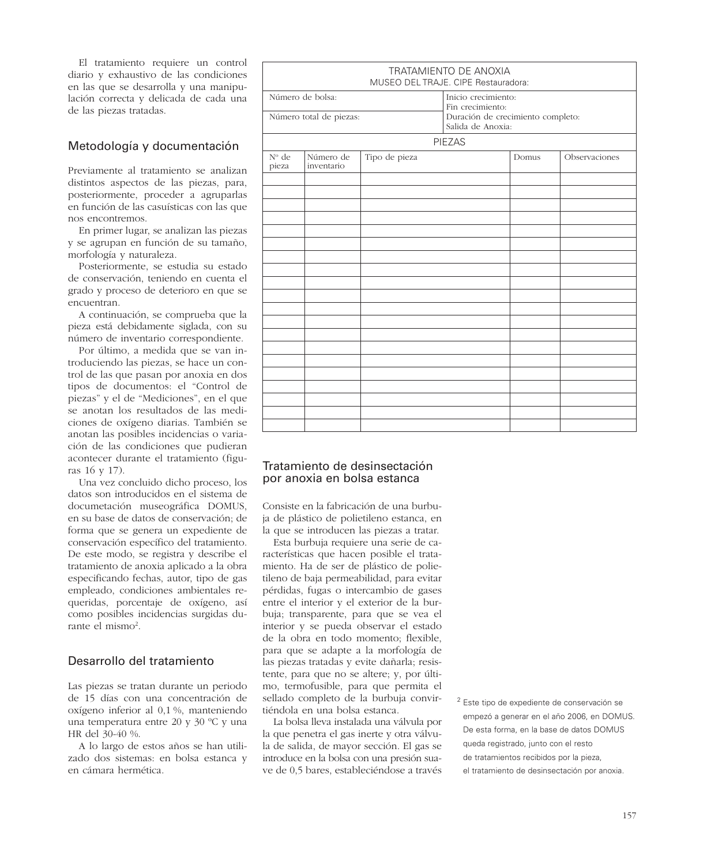El tratamiento requiere un control diario y exhaustivo de las condiciones en las que se desarrolla y una manipulación correcta y delicada de cada una de las piezas tratadas.

## Metodología y documentación

Previamente al tratamiento se analizan distintos aspectos de las piezas, para, posteriormente, proceder a agruparlas en función de las casuísticas con las que nos encontremos.

En primer lugar, se analizan las piezas y se agrupan en función de su tamaño, morfología y naturaleza.

Posteriormente, se estudia su estado de conservación, teniendo en cuenta el grado y proceso de deterioro en que se encuentran.

A continuación, se comprueba que la pieza está debidamente siglada, con su número de inventario correspondiente.

Por último, a medida que se van introduciendo las piezas, se hace un control de las que pasan por anoxia en dos tipos de documentos: el "Control de piezas" y el de "Mediciones", en el que se anotan los resultados de las mediciones de oxígeno diarias. También se anotan las posibles incidencias o variación de las condiciones que pudieran acontecer durante el tratamiento (figuras 16 y 17).

Una vez concluido dicho proceso, los datos son introducidos en el sistema de documetación museográfica DOMUS, en su base de datos de conservación; de forma que se genera un expediente de conservación específico del tratamiento. De este modo, se registra y describe el tratamiento de anoxia aplicado a la obra especificando fechas, autor, tipo de gas empleado, condiciones ambientales requeridas, porcentaje de oxígeno, así como posibles incidencias surgidas durante el mismo<sup>2</sup>.

## Desarrollo del tratamiento

Las piezas se tratan durante un periodo de 15 días con una concentración de oxígeno inferior al 0,1 %, manteniendo una temperatura entre 20 y 30 ºC y una HR del 30-40 %.

A lo largo de estos años se han utilizado dos sistemas: en bolsa estanca y en cámara hermética.

|                                             |                         | MUSEO DEL TRAJE. CIPE Restauradora: | TRATAMIENTO DE ANOXIA                                  |       |               |
|---------------------------------------------|-------------------------|-------------------------------------|--------------------------------------------------------|-------|---------------|
| Número de bolsa:<br>Número total de piezas: |                         |                                     | Inicio crecimiento:<br>Fin crecimiento:                |       |               |
|                                             |                         |                                     | Duración de crecimiento completo:<br>Salida de Anoxia: |       |               |
|                                             |                         |                                     | <b>PIEZAS</b>                                          |       |               |
| $N^{\circ}$ de<br>pieza                     | Número de<br>inventario | Tipo de pieza                       |                                                        | Domus | Observaciones |
|                                             |                         |                                     |                                                        |       |               |
|                                             |                         |                                     |                                                        |       |               |
|                                             |                         |                                     |                                                        |       |               |
|                                             |                         |                                     |                                                        |       |               |
|                                             |                         |                                     |                                                        |       |               |
|                                             |                         |                                     |                                                        |       |               |
|                                             |                         |                                     |                                                        |       |               |
|                                             |                         |                                     |                                                        |       |               |
|                                             |                         |                                     |                                                        |       |               |
|                                             |                         |                                     |                                                        |       |               |
|                                             |                         |                                     |                                                        |       |               |
|                                             |                         |                                     |                                                        |       |               |
|                                             |                         |                                     |                                                        |       |               |
|                                             |                         |                                     |                                                        |       |               |
|                                             |                         |                                     |                                                        |       |               |
|                                             |                         |                                     |                                                        |       |               |
|                                             |                         |                                     |                                                        |       |               |
|                                             |                         |                                     |                                                        |       |               |
|                                             |                         |                                     |                                                        |       |               |
|                                             |                         |                                     |                                                        |       |               |

#### Tratamiento de desinsectación por anoxia en bolsa estanca

Consiste en la fabricación de una burbuja de plástico de polietileno estanca, en la que se introducen las piezas a tratar.

Esta burbuja requiere una serie de características que hacen posible el tratamiento. Ha de ser de plástico de polietileno de baja permeabilidad, para evitar pérdidas, fugas o intercambio de gases entre el interior y el exterior de la burbuja; transparente, para que se vea el interior y se pueda observar el estado de la obra en todo momento; flexible, para que se adapte a la morfología de las piezas tratadas y evite dañarla; resistente, para que no se altere; y, por último, termofusible, para que permita el sellado completo de la burbuja convirtiéndola en una bolsa estanca.

La bolsa lleva instalada una válvula por la que penetra el gas inerte y otra válvula de salida, de mayor sección. El gas se introduce en la bolsa con una presión suave de 0,5 bares, estableciéndose a través <sup>2</sup> Este tipo de expediente de conservación se empezó a generar en el año 2006, en DOMUS. De esta forma, en la base de datos DOMUS queda registrado, junto con el resto de tratamientos recibidos por la pieza, el tratamiento de desinsectación por anoxia.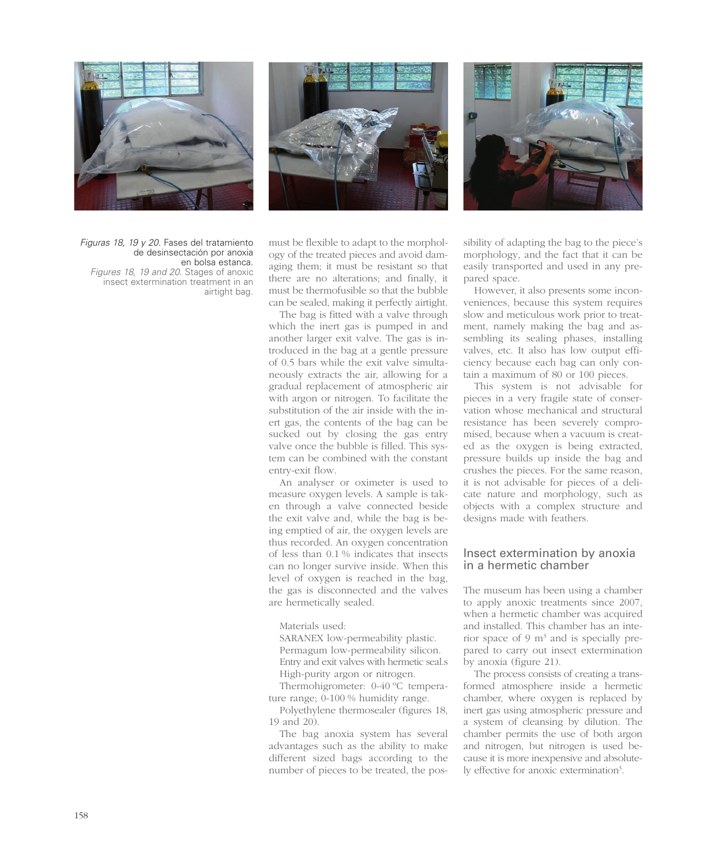





*Figuras 18, 19 y 20. Fases del tratamiento de desinsectación por anoxia en bolsa estanca. Figures 18, 19 and 20. Stages of anoxic insect extermination treatment in an airtight bag.*

must be flexible to adapt to the morphology of the treated pieces and avoid damaging them; it must be resistant so that there are no alterations; and finally, it must be thermofusible so that the bubble can be sealed, making it perfectly airtight.

The bag is fitted with a valve through which the inert gas is pumped in and another larger exit valve. The gas is introduced in the bag at a gentle pressure of 0.5 bars while the exit valve simultaneously extracts the air, allowing for a gradual replacement of atmospheric air with argon or nitrogen. To facilitate the substitution of the air inside with the inert gas, the contents of the bag can be sucked out by closing the gas entry valve once the bubble is filled. This system can be combined with the constant entry-exit flow.

An analyser or oximeter is used to measure oxygen levels. A sample is taken through a valve connected beside the exit valve and, while the bag is being emptied of air, the oxygen levels are thus recorded. An oxygen concentration of less than 0.1 % indicates that insects can no longer survive inside. When this level of oxygen is reached in the bag, the gas is disconnected and the valves are hermetically sealed.

#### Materials used:

SARANEX low-permeability plastic. Permagum low-permeability silicon. Entry and exit valves with hermetic seal.s High-purity argon or nitrogen.

Thermohigrometer: 0-40 ºC temperature range; 0-100 % humidity range.

Polyethylene thermosealer (figures 18, 19 and 20).

The bag anoxia system has several advantages such as the ability to make different sized bags according to the number of pieces to be treated, the possibility of adapting the bag to the piece's morphology, and the fact that it can be easily transported and used in any prepared space.

However, it also presents some inconveniences, because this system requires slow and meticulous work prior to treatment, namely making the bag and assembling its sealing phases, installing valves, etc. It also has low output efficiency because each bag can only contain a maximum of 80 or 100 pieces.

This system is not advisable for pieces in a very fragile state of conservation whose mechanical and structural resistance has been severely compromised, because when a vacuum is created as the oxygen is being extracted, pressure builds up inside the bag and crushes the pieces. For the same reason, it is not advisable for pieces of a delicate nature and morphology, such as objects with a complex structure and designs made with feathers.

#### Insect extermination by anoxia in a hermetic chamber

The museum has been using a chamber to apply anoxic treatments since 2007, when a hermetic chamber was acquired and installed. This chamber has an interior space of 9  $m<sup>3</sup>$  and is specially prepared to carry out insect extermination by anoxia (figure 21).

The process consists of creating a transformed atmosphere inside a hermetic chamber, where oxygen is replaced by inert gas using atmospheric pressure and a system of cleansing by dilution. The chamber permits the use of both argon and nitrogen, but nitrogen is used because it is more inexpensive and absolutely effective for anoxic extermination<sup>3</sup>.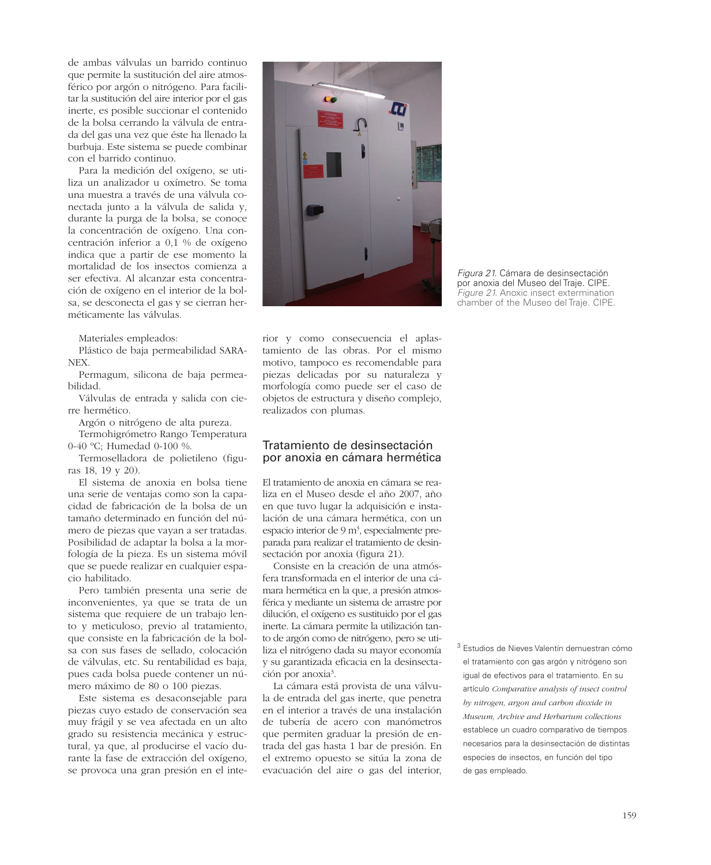de ambas válvulas un barrido continuo que permite la sustitución del aire atmosférico por argón o nitrógeno. Para facilitar la sustitución del aire interior por el gas inerte, es posible succionar el contenido de la bolsa cerrando la válvula de entrada del gas una vez que éste ha llenado la burbuja. Este sistema se puede combinar con el barrido continuo.

Para la medición del oxígeno, se utiliza un analizador u oxímetro. Se toma una muestra a través de una válvula conectada junto a la válvula de salida y, durante la purga de la bolsa, se conoce la concentración de oxígeno. Una concentración inferior a 0,1 % de oxígeno indica que a partir de ese momento la mortalidad de los insectos comienza a ser efectiva. Al alcanzar esta concentración de oxígeno en el interior de la bolsa, se desconecta el gas y se cierran herméticamente las válvulas.

Materiales empleados:

Plástico de baja permeabilidad SARA-NEX.

Permagum, silicona de baja permeabilidad.

Válvulas de entrada y salida con cierre hermético.

Argón o nitrógeno de alta pureza.

Termohigrómetro Rango Temperatura 0-40 ºC; Humedad 0-100 %.

Termoselladora de polietileno (figuras 18, 19 y 20).

El sistema de anoxia en bolsa tiene una serie de ventajas como son la capacidad de fabricación de la bolsa de un tamaño determinado en función del número de piezas que vayan a ser tratadas. Posibilidad de adaptar la bolsa a la morfología de la pieza. Es un sistema móvil que se puede realizar en cualquier espacio habilitado.

Pero también presenta una serie de inconvenientes, ya que se trata de un sistema que requiere de un trabajo lento y meticuloso, previo al tratamiento, que consiste en la fabricación de la bolsa con sus fases de sellado, colocación de válvulas, etc. Su rentabilidad es baja, pues cada bolsa puede contener un número máximo de 80 o 100 piezas.

Este sistema es desaconsejable para piezas cuyo estado de conservación sea muy frágil y se vea afectada en un alto grado su resistencia mecánica y estructural, ya que, al producirse el vacío durante la fase de extracción del oxígeno, se provoca una gran presión en el inte-



*Figura 21. Cámara de desinsectación por anoxia del Museo del Traje. CIPE. Figure 21. Anoxic insect extermination chamber of the Museo del Traje. CIPE.*

rior y como consecuencia el aplastamiento de las obras. Por el mismo motivo, tampoco es recomendable para piezas delicadas por su naturaleza y morfología como puede ser el caso de objetos de estructura y diseño complejo, realizados con plumas.

#### Tratamiento de desinsectación por anoxia en cámara hermética

El tratamiento de anoxia en cámara se realiza en el Museo desde el año 2007, año en que tuvo lugar la adquisición e instalación de una cámara hermética, con un espacio interior de 9 m<sup>3</sup>, especialmente preparada para realizar el tratamiento de desinsectación por anoxia (figura 21).

Consiste en la creación de una atmósfera transformada en el interior de una cámara hermética en la que, a presión atmosférica y mediante un sistema de arrastre por dilución, el oxígeno es sustituido por el gas inerte. La cámara permite la utilización tanto de argón como de nitrógeno, pero se utiliza el nitrógeno dada su mayor economía y su garantizada eficacia en la desinsectación por anoxia3 .

La cámara está provista de una válvula de entrada del gas inerte, que penetra en el interior a través de una instalación de tubería de acero con manómetros que permiten graduar la presión de entrada del gas hasta 1 bar de presión. En el extremo opuesto se sitúa la zona de evacuación del aire o gas del interior, *<sup>3</sup> Estudios de Nieves Valentín demuestran cómo el tratamiento con gas argón y nitrógeno son igual de efectivos para el tratamiento. En su artículo Comparative analysis of insect control by nitrogen, argon and carbon dioxide in Museum, Archive and Herbarium collections establece un cuadro comparativo de tiempos necesarios para la desinsectación de distintas especies de insectos, en función del tipo de gas empleado.*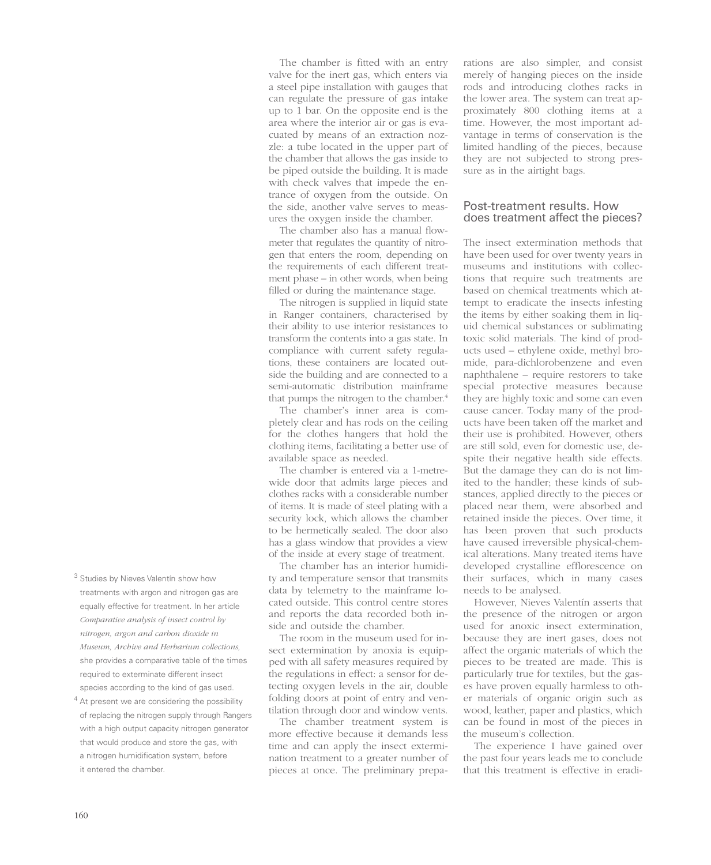<sup>3</sup> Studies by Nieves Valentín show how treatments with argon and nitrogen gas are equally effective for treatment. In her article *Comparative analysis of insect control by nitrogen, argon and carbon dioxide in Museum, Archive and Herbarium collections,* she provides a comparative table of the times required to exterminate different insect species according to the kind of gas used.

 $4$  At present we are considering the possibility of replacing the nitrogen supply through Rangers with a high output capacity nitrogen generator that would produce and store the gas, with a nitrogen humidification system, before it entered the chamber.

The chamber is fitted with an entry valve for the inert gas, which enters via a steel pipe installation with gauges that can regulate the pressure of gas intake up to 1 bar. On the opposite end is the area where the interior air or gas is evacuated by means of an extraction nozzle: a tube located in the upper part of the chamber that allows the gas inside to be piped outside the building. It is made with check valves that impede the entrance of oxygen from the outside. On the side, another valve serves to measures the oxygen inside the chamber.

The chamber also has a manual flowmeter that regulates the quantity of nitrogen that enters the room, depending on the requirements of each different treatment phase – in other words, when being filled or during the maintenance stage.

The nitrogen is supplied in liquid state in Ranger containers, characterised by their ability to use interior resistances to transform the contents into a gas state. In compliance with current safety regulations, these containers are located outside the building and are connected to a semi-automatic distribution mainframe that pumps the nitrogen to the chamber.<sup>4</sup>

The chamber's inner area is completely clear and has rods on the ceiling for the clothes hangers that hold the clothing items, facilitating a better use of available space as needed.

The chamber is entered via a 1-metrewide door that admits large pieces and clothes racks with a considerable number of items. It is made of steel plating with a security lock, which allows the chamber to be hermetically sealed. The door also has a glass window that provides a view of the inside at every stage of treatment.

The chamber has an interior humidity and temperature sensor that transmits data by telemetry to the mainframe located outside. This control centre stores and reports the data recorded both inside and outside the chamber.

The room in the museum used for insect extermination by anoxia is equipped with all safety measures required by the regulations in effect: a sensor for detecting oxygen levels in the air, double folding doors at point of entry and ventilation through door and window vents.

The chamber treatment system is more effective because it demands less time and can apply the insect extermination treatment to a greater number of pieces at once. The preliminary prepa-

rations are also simpler, and consist merely of hanging pieces on the inside rods and introducing clothes racks in the lower area. The system can treat approximately 800 clothing items at a time. However, the most important advantage in terms of conservation is the limited handling of the pieces, because they are not subjected to strong pressure as in the airtight bags.

## Post-treatment results. How does treatment affect the pieces?

The insect extermination methods that have been used for over twenty years in museums and institutions with collections that require such treatments are based on chemical treatments which attempt to eradicate the insects infesting the items by either soaking them in liquid chemical substances or sublimating toxic solid materials. The kind of products used – ethylene oxide, methyl bromide, para-dichlorobenzene and even naphthalene – require restorers to take special protective measures because they are highly toxic and some can even cause cancer. Today many of the products have been taken off the market and their use is prohibited. However, others are still sold, even for domestic use, despite their negative health side effects. But the damage they can do is not limited to the handler; these kinds of substances, applied directly to the pieces or placed near them, were absorbed and retained inside the pieces. Over time, it has been proven that such products have caused irreversible physical-chemical alterations. Many treated items have developed crystalline efflorescence on their surfaces, which in many cases needs to be analysed.

However, Nieves Valentín asserts that the presence of the nitrogen or argon used for anoxic insect extermination, because they are inert gases, does not affect the organic materials of which the pieces to be treated are made. This is particularly true for textiles, but the gases have proven equally harmless to other materials of organic origin such as wood, leather, paper and plastics, which can be found in most of the pieces in the museum's collection.

The experience I have gained over the past four years leads me to conclude that this treatment is effective in eradi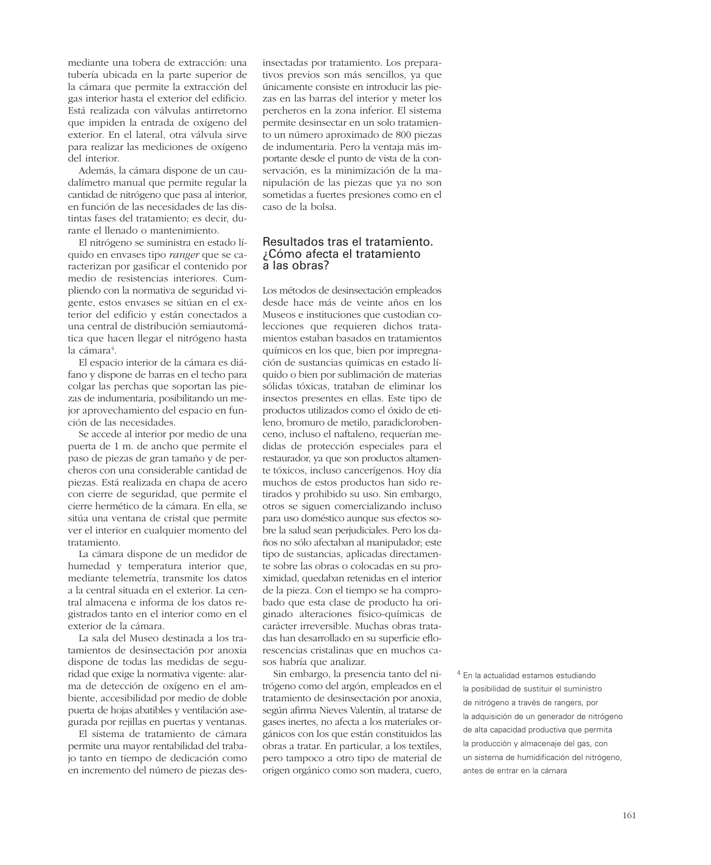mediante una tobera de extracción: una tubería ubicada en la parte superior de la cámara que permite la extracción del gas interior hasta el exterior del edificio. Está realizada con válvulas antirretorno que impiden la entrada de oxígeno del exterior. En el lateral, otra válvula sirve para realizar las mediciones de oxígeno del interior.

Además, la cámara dispone de un caudalímetro manual que permite regular la cantidad de nitrógeno que pasa al interior, en función de las necesidades de las distintas fases del tratamiento; es decir, durante el llenado o mantenimiento.

El nitrógeno se suministra en estado líquido en envases tipo *ranger* que se caracterizan por gasificar el contenido por medio de resistencias interiores. Cumpliendo con la normativa de seguridad vigente, estos envases se sitúan en el exterior del edificio y están conectados a una central de distribución semiautomática que hacen llegar el nitrógeno hasta la cámara<sup>4</sup>.

El espacio interior de la cámara es diáfano y dispone de barras en el techo para colgar las perchas que soportan las piezas de indumentaria, posibilitando un mejor aprovechamiento del espacio en función de las necesidades.

Se accede al interior por medio de una puerta de 1 m. de ancho que permite el paso de piezas de gran tamaño y de percheros con una considerable cantidad de piezas. Está realizada en chapa de acero con cierre de seguridad, que permite el cierre hermético de la cámara. En ella, se sitúa una ventana de cristal que permite ver el interior en cualquier momento del tratamiento.

La cámara dispone de un medidor de humedad y temperatura interior que, mediante telemetría, transmite los datos a la central situada en el exterior. La central almacena e informa de los datos registrados tanto en el interior como en el exterior de la cámara.

La sala del Museo destinada a los tratamientos de desinsectación por anoxia dispone de todas las medidas de seguridad que exige la normativa vigente: alarma de detección de oxígeno en el ambiente, accesibilidad por medio de doble puerta de hojas abatibles y ventilación asegurada por rejillas en puertas y ventanas.

El sistema de tratamiento de cámara permite una mayor rentabilidad del trabajo tanto en tiempo de dedicación como en incremento del número de piezas desinsectadas por tratamiento. Los preparativos previos son más sencillos, ya que únicamente consiste en introducir las piezas en las barras del interior y meter los percheros en la zona inferior. El sistema permite desinsectar en un solo tratamiento un número aproximado de 800 piezas de indumentaria. Pero la ventaja más importante desde el punto de vista de la conservación, es la minimización de la manipulación de las piezas que ya no son sometidas a fuertes presiones como en el caso de la bolsa.

#### Resultados tras el tratamiento. ¿Cómo afecta el tratamiento a las obras?

Los métodos de desinsectación empleados desde hace más de veinte años en los Museos e instituciones que custodian colecciones que requieren dichos tratamientos estaban basados en tratamientos químicos en los que, bien por impregnación de sustancias químicas en estado líquido o bien por sublimación de materias sólidas tóxicas, trataban de eliminar los insectos presentes en ellas. Este tipo de productos utilizados como el óxido de etileno, bromuro de metilo, paradiclorobenceno, incluso el naftaleno, requerían medidas de protección especiales para el restaurador, ya que son productos altamente tóxicos, incluso cancerígenos. Hoy día muchos de estos productos han sido retirados y prohibido su uso. Sin embargo, otros se siguen comercializando incluso para uso doméstico aunque sus efectos sobre la salud sean perjudiciales. Pero los daños no sólo afectaban al manipulador; este tipo de sustancias, aplicadas directamente sobre las obras o colocadas en su proximidad, quedaban retenidas en el interior de la pieza. Con el tiempo se ha comprobado que esta clase de producto ha originado alteraciones físico-químicas de carácter irreversible. Muchas obras tratadas han desarrollado en su superficie eflorescencias cristalinas que en muchos casos habría que analizar.

Sin embargo, la presencia tanto del nitrógeno como del argón, empleados en el tratamiento de desinsectación por anoxia, según afirma Nieves Valentín, al tratarse de gases inertes, no afecta a los materiales orgánicos con los que están constituidos las obras a tratar. En particular, a los textiles, pero tampoco a otro tipo de material de origen orgánico como son madera, cuero,

<sup>4</sup> En la actualidad estamos estudiando la posibilidad de sustituir el suministro de nitrógeno a través de rangers, por la adquisición de un generador de nitrógeno de alta capacidad productiva que permita la producción y almacenaje del gas, con un sistema de humidificación del nitrógeno, antes de entrar en la cámara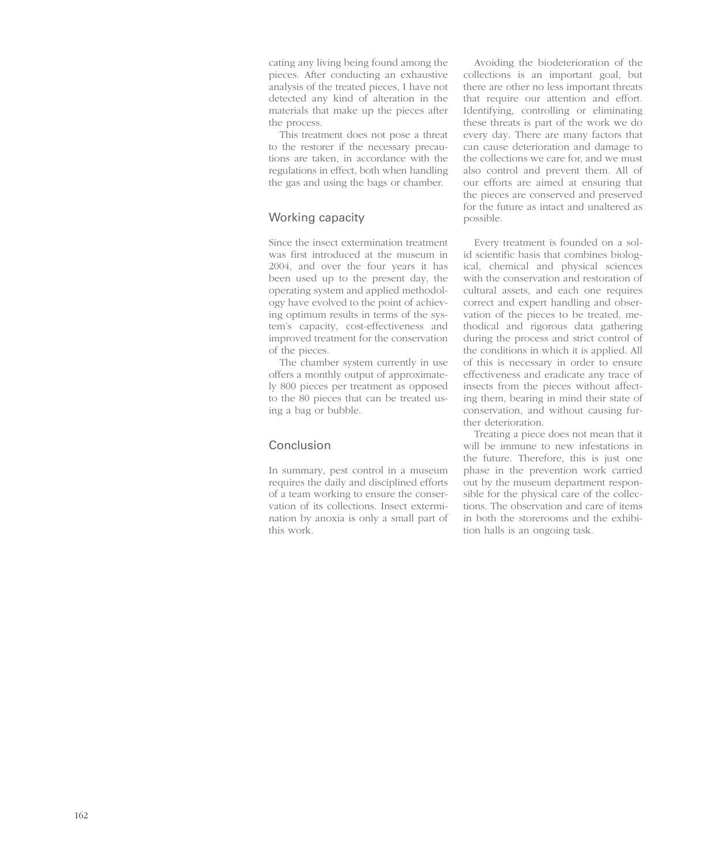cating any living being found among the pieces. After conducting an exhaustive analysis of the treated pieces, I have not detected any kind of alteration in the materials that make up the pieces after the process.

This treatment does not pose a threat to the restorer if the necessary precautions are taken, in accordance with the regulations in effect, both when handling the gas and using the bags or chamber.

## Working capacity

Since the insect extermination treatment was first introduced at the museum in 2004, and over the four years it has been used up to the present day, the operating system and applied methodology have evolved to the point of achieving optimum results in terms of the system's capacity, cost-effectiveness and improved treatment for the conservation of the pieces.

The chamber system currently in use offers a monthly output of approximately 800 pieces per treatment as opposed to the 80 pieces that can be treated using a bag or bubble.

# Conclusion

In summary, pest control in a museum requires the daily and disciplined efforts of a team working to ensure the conservation of its collections. Insect extermination by anoxia is only a small part of this work.

Avoiding the biodeterioration of the collections is an important goal, but there are other no less important threats that require our attention and effort. Identifying, controlling or eliminating these threats is part of the work we do every day. There are many factors that can cause deterioration and damage to the collections we care for, and we must also control and prevent them. All of our efforts are aimed at ensuring that the pieces are conserved and preserved for the future as intact and unaltered as possible.

Every treatment is founded on a solid scientific basis that combines biological, chemical and physical sciences with the conservation and restoration of cultural assets, and each one requires correct and expert handling and observation of the pieces to be treated, methodical and rigorous data gathering during the process and strict control of the conditions in which it is applied. All of this is necessary in order to ensure effectiveness and eradicate any trace of insects from the pieces without affecting them, bearing in mind their state of conservation, and without causing further deterioration.

Treating a piece does not mean that it will be immune to new infestations in the future. Therefore, this is just one phase in the prevention work carried out by the museum department responsible for the physical care of the collections. The observation and care of items in both the storerooms and the exhibition halls is an ongoing task.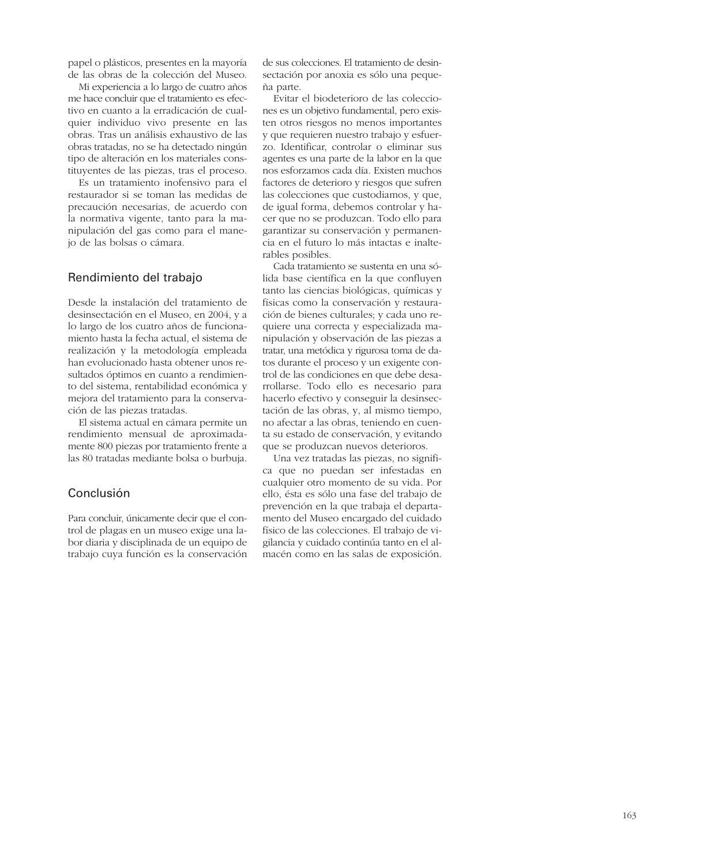papel o plásticos, presentes en la mayoría de las obras de la colección del Museo.

Mi experiencia a lo largo de cuatro años me hace concluir que el tratamiento es efectivo en cuanto a la erradicación de cualquier individuo vivo presente en las obras. Tras un análisis exhaustivo de las obras tratadas, no se ha detectado ningún tipo de alteración en los materiales constituyentes de las piezas, tras el proceso.

Es un tratamiento inofensivo para el restaurador si se toman las medidas de precaución necesarias, de acuerdo con la normativa vigente, tanto para la manipulación del gas como para el manejo de las bolsas o cámara.

#### Rendimiento del trabajo

Desde la instalación del tratamiento de desinsectación en el Museo, en 2004, y a lo largo de los cuatro años de funcionamiento hasta la fecha actual, el sistema de realización y la metodología empleada han evolucionado hasta obtener unos resultados óptimos en cuanto a rendimiento del sistema, rentabilidad económica y mejora del tratamiento para la conservación de las piezas tratadas.

El sistema actual en cámara permite un rendimiento mensual de aproximadamente 800 piezas por tratamiento frente a las 80 tratadas mediante bolsa o burbuja.

## Conclusión

Para concluir, únicamente decir que el control de plagas en un museo exige una labor diaria y disciplinada de un equipo de trabajo cuya función es la conservación de sus colecciones. El tratamiento de desinsectación por anoxia es sólo una pequeña parte.

Evitar el biodeterioro de las colecciones es un objetivo fundamental, pero existen otros riesgos no menos importantes y que requieren nuestro trabajo y esfuerzo. Identificar, controlar o eliminar sus agentes es una parte de la labor en la que nos esforzamos cada día. Existen muchos factores de deterioro y riesgos que sufren las colecciones que custodiamos, y que, de igual forma, debemos controlar y hacer que no se produzcan. Todo ello para garantizar su conservación y permanencia en el futuro lo más intactas e inalterables posibles.

Cada tratamiento se sustenta en una sólida base científica en la que confluyen tanto las ciencias biológicas, químicas y físicas como la conservación y restauración de bienes culturales; y cada uno requiere una correcta y especializada manipulación y observación de las piezas a tratar, una metódica y rigurosa toma de datos durante el proceso y un exigente control de las condiciones en que debe desarrollarse. Todo ello es necesario para hacerlo efectivo y conseguir la desinsectación de las obras, y, al mismo tiempo, no afectar a las obras, teniendo en cuenta su estado de conservación, y evitando que se produzcan nuevos deterioros.

Una vez tratadas las piezas, no significa que no puedan ser infestadas en cualquier otro momento de su vida. Por ello, ésta es sólo una fase del trabajo de prevención en la que trabaja el departamento del Museo encargado del cuidado físico de las colecciones. El trabajo de vigilancia y cuidado continúa tanto en el almacén como en las salas de exposición.